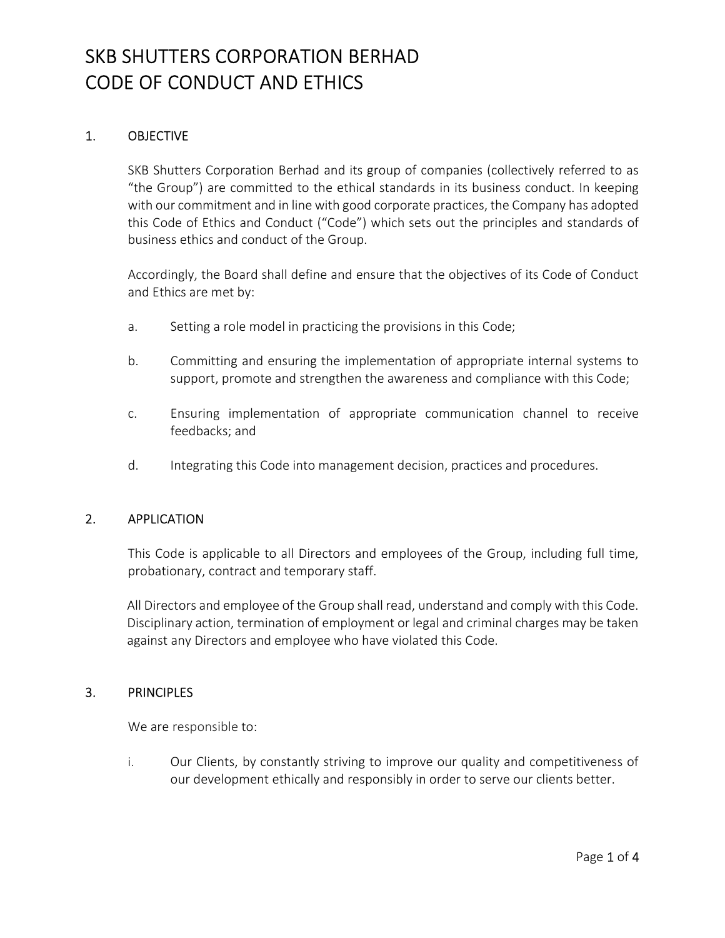### 1. OBJECTIVE

SKB Shutters Corporation Berhad and its group of companies (collectively referred to as "the Group") are committed to the ethical standards in its business conduct. In keeping with our commitment and in line with good corporate practices, the Company has adopted this Code of Ethics and Conduct ("Code") which sets out the principles and standards of business ethics and conduct of the Group.

Accordingly, the Board shall define and ensure that the objectives of its Code of Conduct and Ethics are met by:

- a. Setting a role model in practicing the provisions in this Code;
- b. Committing and ensuring the implementation of appropriate internal systems to support, promote and strengthen the awareness and compliance with this Code;
- c. Ensuring implementation of appropriate communication channel to receive feedbacks; and
- d. Integrating this Code into management decision, practices and procedures.

#### 2. APPLICATION

This Code is applicable to all Directors and employees of the Group, including full time, probationary, contract and temporary staff.

All Directors and employee of the Group shall read, understand and comply with this Code. Disciplinary action, termination of employment or legal and criminal charges may be taken against any Directors and employee who have violated this Code.

#### 3. PRINCIPLES

We are responsible to:

i. Our Clients, by constantly striving to improve our quality and competitiveness of our development ethically and responsibly in order to serve our clients better.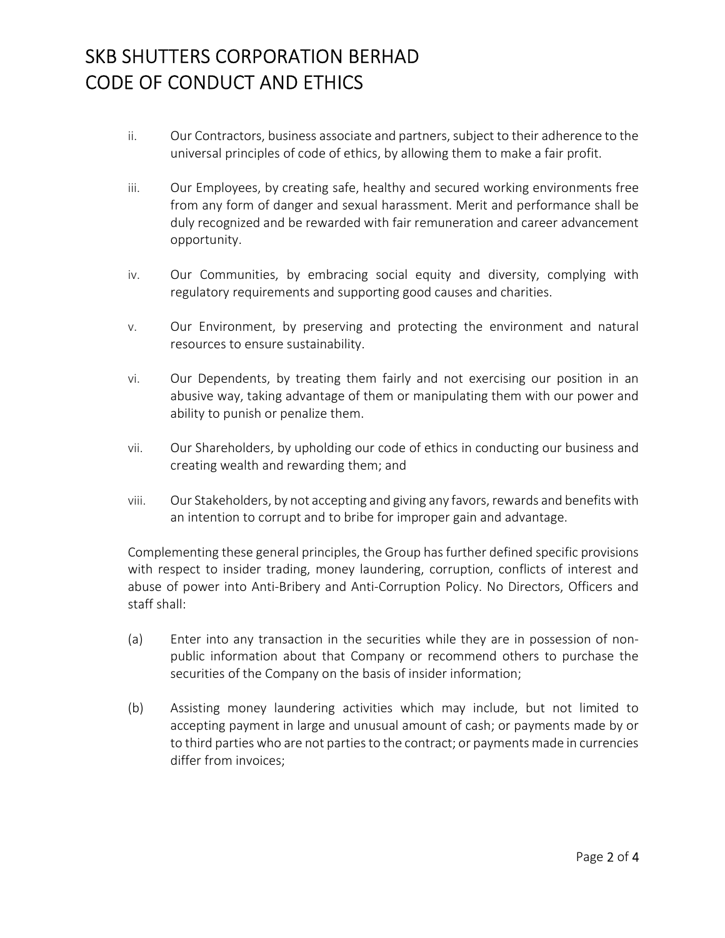- ii. Our Contractors, business associate and partners, subject to their adherence to the universal principles of code of ethics, by allowing them to make a fair profit.
- iii. Our Employees, by creating safe, healthy and secured working environments free from any form of danger and sexual harassment. Merit and performance shall be duly recognized and be rewarded with fair remuneration and career advancement opportunity.
- iv. Our Communities, by embracing social equity and diversity, complying with regulatory requirements and supporting good causes and charities.
- v. Our Environment, by preserving and protecting the environment and natural resources to ensure sustainability.
- vi. Our Dependents, by treating them fairly and not exercising our position in an abusive way, taking advantage of them or manipulating them with our power and ability to punish or penalize them.
- vii. Our Shareholders, by upholding our code of ethics in conducting our business and creating wealth and rewarding them; and
- viii. Our Stakeholders, by not accepting and giving any favors, rewards and benefits with an intention to corrupt and to bribe for improper gain and advantage.

Complementing these general principles, the Group has further defined specific provisions with respect to insider trading, money laundering, corruption, conflicts of interest and abuse of power into Anti-Bribery and Anti-Corruption Policy. No Directors, Officers and staff shall:

- (a) Enter into any transaction in the securities while they are in possession of nonpublic information about that Company or recommend others to purchase the securities of the Company on the basis of insider information;
- (b) Assisting money laundering activities which may include, but not limited to accepting payment in large and unusual amount of cash; or payments made by or to third parties who are not parties to the contract; or payments made in currencies differ from invoices;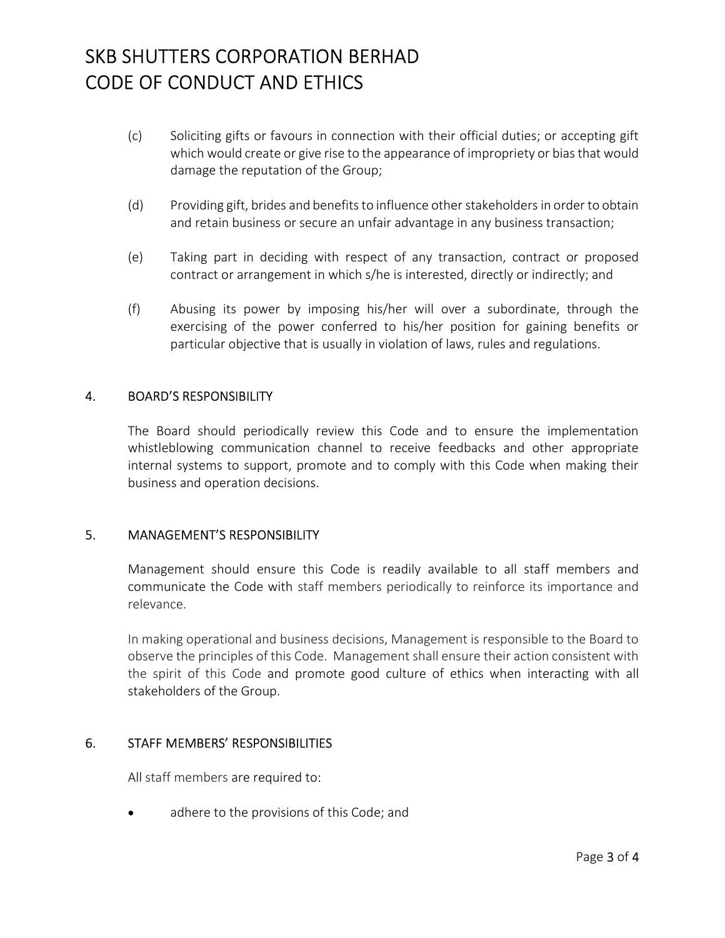- (c) Soliciting gifts or favours in connection with their official duties; or accepting gift which would create or give rise to the appearance of impropriety or bias that would damage the reputation of the Group;
- (d) Providing gift, brides and benefits to influence other stakeholders in order to obtain and retain business or secure an unfair advantage in any business transaction;
- (e) Taking part in deciding with respect of any transaction, contract or proposed contract or arrangement in which s/he is interested, directly or indirectly; and
- (f) Abusing its power by imposing his/her will over a subordinate, through the exercising of the power conferred to his/her position for gaining benefits or particular objective that is usually in violation of laws, rules and regulations.

#### 4. BOARD'S RESPONSIBILITY

The Board should periodically review this Code and to ensure the implementation whistleblowing communication channel to receive feedbacks and other appropriate internal systems to support, promote and to comply with this Code when making their business and operation decisions.

#### 5. MANAGEMENT'S RESPONSIBILITY

Management should ensure this Code is readily available to all staff members and communicate the Code with staff members periodically to reinforce its importance and relevance.

In making operational and business decisions, Management is responsible to the Board to observe the principles of this Code. Management shall ensure their action consistent with the spirit of this Code and promote good culture of ethics when interacting with all stakeholders of the Group.

#### 6. STAFF MEMBERS' RESPONSIBILITIES

All staff members are required to:

• adhere to the provisions of this Code; and